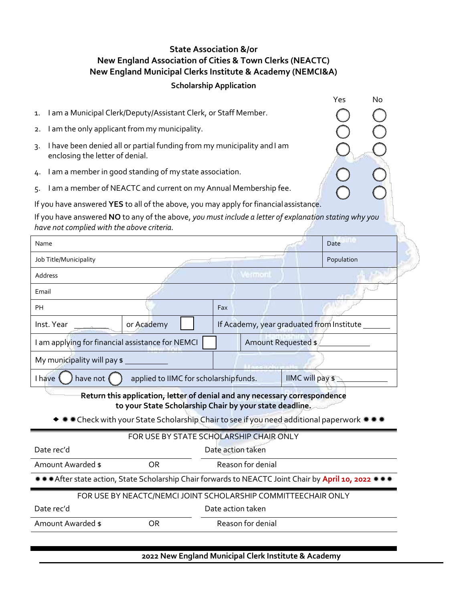# **State Association &/or New England Association of Cities & Town Clerks (NEACTC) New England Municipal Clerks Institute & Academy (NEMCI&A)**

## **Scholarship Application**

Yes No

I.

I.

ŎŎŎ

I

I

| 1. I am a Municipal Clerk/Deputy/Assistant Clerk, or Staff Member. |
|--------------------------------------------------------------------|
|                                                                    |

- 2. I am the only applicant from my municipality.
- 3. I have been denied all or partial funding from my municipality andI am enclosing the letter of denial.
- 4. I am a member in good standing of my state association.
- 5. I am a member of NEACTC and current on my Annual Membership fee.

If you have answered **YES** to all of the above, you may apply for financialassistance.

If you have answered **NO** to any of the above, *you must include a letter of explanation stating why you have not complied with the above criteria.*

| Name                                                                                                                                  |            |                                           | Date |  |  |  |  |  |
|---------------------------------------------------------------------------------------------------------------------------------------|------------|-------------------------------------------|------|--|--|--|--|--|
| Job Title/Municipality                                                                                                                | Population |                                           |      |  |  |  |  |  |
| Address                                                                                                                               |            | <b>Common</b>                             |      |  |  |  |  |  |
| Email                                                                                                                                 |            |                                           |      |  |  |  |  |  |
| PН                                                                                                                                    |            | Fax                                       |      |  |  |  |  |  |
| Inst. Year                                                                                                                            | or Academy | If Academy, year graduated from Institute |      |  |  |  |  |  |
| I am applying for financial assistance for NEMCI                                                                                      |            | Amount Requested \$                       |      |  |  |  |  |  |
| My municipality will pay \$                                                                                                           |            |                                           |      |  |  |  |  |  |
| IIMC will pay \$<br>have not (<br>applied to IIMC for scholarshipfunds.<br>I have                                                     |            |                                           |      |  |  |  |  |  |
| Return this application, letter of denial and any necessary correspondence<br>to your State Scholarship Chair by your state deadline. |            |                                           |      |  |  |  |  |  |
| * * Check with your State Scholarship Chair to see if you need additional paperwork * * *                                             |            |                                           |      |  |  |  |  |  |
| FOR USE BY STATE SCHOLARSHIP CHAIR ONLY                                                                                               |            |                                           |      |  |  |  |  |  |
| Date rec'd<br>Date action taken                                                                                                       |            |                                           |      |  |  |  |  |  |
| Amount Awarded \$                                                                                                                     | <b>OR</b>  | Reason for denial                         |      |  |  |  |  |  |
| ***After state action, State Scholarship Chair forwards to NEACTC Joint Chair by April 10, 2022 ***                                   |            |                                           |      |  |  |  |  |  |
| FOR USE BY NEACTC/NEMCI JOINT SCHOLARSHIP COMMITTEECHAIR ONLY                                                                         |            |                                           |      |  |  |  |  |  |
| Date rec'd<br>Date action taken                                                                                                       |            |                                           |      |  |  |  |  |  |
| Amount Awarded \$                                                                                                                     | OR.        | Reason for denial                         |      |  |  |  |  |  |
|                                                                                                                                       |            |                                           |      |  |  |  |  |  |

**2022 New England Municipal Clerk Institute & Academy**